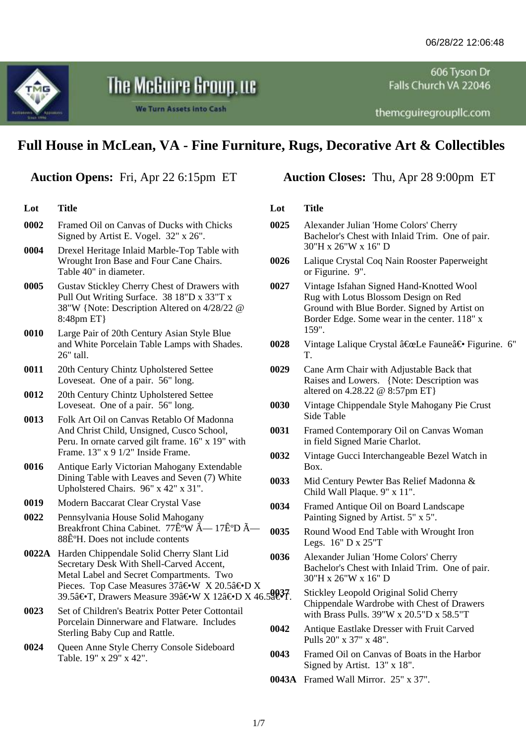606 Tyson Dr Falls Church VA 22046

themcguiregrouplic.com

# **Full House in McLean, VA - Fine Furniture, Rugs, Decorative Art & Collectibles**

The McGuire Group, we

We Turn Assets into Cash

| Lot   | <b>Title</b>                                                                                                                                                                     | Lot          |
|-------|----------------------------------------------------------------------------------------------------------------------------------------------------------------------------------|--------------|
| 0002  | Framed Oil on Canvas of Ducks with Chicks<br>Signed by Artist E. Vogel. 32" x 26".                                                                                               | 0025         |
| 0004  | Drexel Heritage Inlaid Marble-Top Table with<br>Wrought Iron Base and Four Cane Chairs.<br>Table 40" in diameter.                                                                | 0026         |
| 0005  | Gustav Stickley Cherry Chest of Drawers with<br>Pull Out Writing Surface. 38 18"D x 33"T x<br>38"W {Note: Description Altered on 4/28/22 @<br>8:48pm ET}                         | 0027         |
| 0010  | Large Pair of 20th Century Asian Style Blue<br>and White Porcelain Table Lamps with Shades.<br>26" tall.                                                                         | 0028         |
| 0011  | 20th Century Chintz Upholstered Settee<br>Loveseat. One of a pair. 56" long.                                                                                                     | 0029         |
| 0012  | 20th Century Chintz Upholstered Settee<br>Loveseat. One of a pair. 56" long.                                                                                                     | 0030         |
| 0013  | Folk Art Oil on Canvas Retablo Of Madonna<br>And Christ Child, Unsigned, Cusco School,<br>Peru. In ornate carved gilt frame. 16" x 19" with<br>Frame. 13" x 9 1/2" Inside Frame. | 0031<br>0032 |
| 0016  | Antique Early Victorian Mahogany Extendable<br>Dining Table with Leaves and Seven (7) White<br>Upholstered Chairs. 96" x 42" x 31".                                              | 0033         |
| 0019  | Modern Baccarat Clear Crystal Vase                                                                                                                                               | 0034         |
| 0022  | Pennsylvania House Solid Mahogany<br>Breakfront China Cabinet. 77ʰW — 17ʰD Â-<br>88ʰH. Does not include contents                                                                 | 0035         |
| 0022A | Harden Chippendale Solid Cherry Slant Lid<br>Secretary Desk With Shell-Carved Accent,<br>Metal Label and Secret Compartments. Two                                                | 0036         |
|       | Pieces. Top Case Measures 37―W X 20.5―D X<br>39.5―T, Drawers Measure 39―W X 12―D X 46.9a€•T.                                                                                     |              |
| 0023  | Set of Children's Beatrix Potter Peter Cottontail<br>Porcelain Dinnerware and Flatware. Includes<br>Sterling Baby Cup and Rattle.                                                | 0042         |
| 0024  | Queen Anne Style Cherry Console Sideboard<br>Table. 19" x 29" x 42".                                                                                                             | 0043         |
|       |                                                                                                                                                                                  | 0043A        |
|       |                                                                                                                                                                                  |              |

# **Auction Opens:** Fri, Apr 22 6:15pm ET **Auction Closes:** Thu, Apr 28 9:00pm ET

## **Lot Title**

- **0025** Alexander Julian 'Home Colors' Cherry Bachelor's Chest with Inlaid Trim. One of pair. 30"H x 26"W x 16" D
- **0026** Lalique Crystal Coq Nain Rooster Paperweight or Figurine. 9".
- **0027** Vintage Isfahan Signed Hand-Knotted Wool Rug with Lotus Blossom Design on Red Ground with Blue Border. Signed by Artist on Border Edge. Some wear in the center. 118" x 159".
- **0028** Vintage Lalique Crystal "Le Faune― Figurine. 6" T.
- **0029** Cane Arm Chair with Adjustable Back that Raises and Lowers. {Note: Description was altered on 4.28.22 @ 8:57pm ET}
- **0030** Vintage Chippendale Style Mahogany Pie Crust Side Table
- **0031** Framed Contemporary Oil on Canvas Woman in field Signed Marie Charlot.
- **0032** Vintage Gucci Interchangeable Bezel Watch in Box.
- **0033** Mid Century Pewter Bas Relief Madonna & Child Wall Plaque. 9" x 11".
- **0034** Framed Antique Oil on Board Landscape Painting Signed by Artist. 5" x 5".
- **0035** Round Wood End Table with Wrought Iron Legs. 16" D x 25"T

**0036** Alexander Julian 'Home Colors' Cherry Bachelor's Chest with Inlaid Trim. One of pair. 30"H x 26"W x 16" D

- **0037** Stickley Leopold Original Solid Cherry Chippendale Wardrobe with Chest of Drawers with Brass Pulls. 39"W x 20.5"D x 58.5"T
- **0042** Antique Eastlake Dresser with Fruit Carved Pulls 20" x 37" x 48".
- **0043** Framed Oil on Canvas of Boats in the Harbor Signed by Artist. 13" x 18".
- **0043A** Framed Wall Mirror. 25" x 37".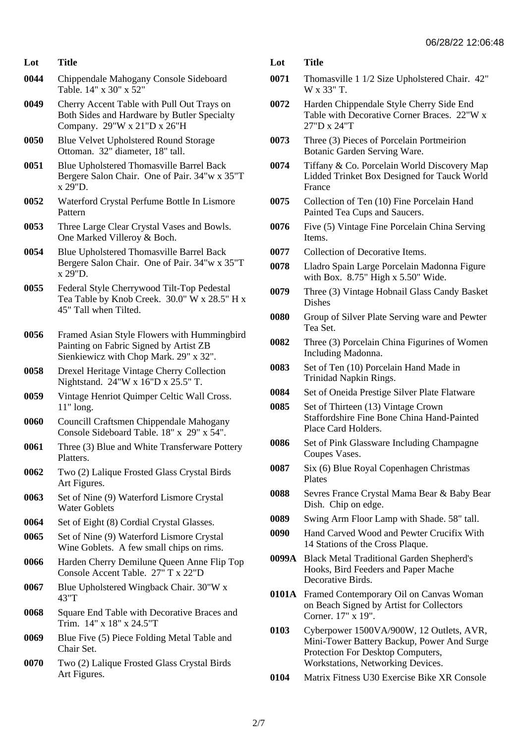- **0044** Chippendale Mahogany Console Sideboard Table. 14" x 30" x 52"
- **0049** Cherry Accent Table with Pull Out Trays on Both Sides and Hardware by Butler Specialty Company. 29"W x 21"D x 26"H
- **0050** Blue Velvet Upholstered Round Storage Ottoman. 32" diameter, 18" tall.
- **0051** Blue Upholstered Thomasville Barrel Back Bergere Salon Chair. One of Pair. 34"w x 35"T x 29"D.
- **0052** Waterford Crystal Perfume Bottle In Lismore Pattern
- **0053** Three Large Clear Crystal Vases and Bowls. One Marked Villeroy & Boch.
- **0054** Blue Upholstered Thomasville Barrel Back Bergere Salon Chair. One of Pair. 34"w x 35"T x 29"D.
- **0055** Federal Style Cherrywood Tilt-Top Pedestal Tea Table by Knob Creek. 30.0" W x 28.5" H x 45" Tall when Tilted.
- **0056** Framed Asian Style Flowers with Hummingbird Painting on Fabric Signed by Artist ZB Sienkiewicz with Chop Mark. 29" x 32".
- **0058** Drexel Heritage Vintage Cherry Collection Nightstand. 24"W x 16"D x 25.5" T.
- **0059** Vintage Henriot Quimper Celtic Wall Cross. 11" long.
- **0060** Councill Craftsmen Chippendale Mahogany Console Sideboard Table. 18" x 29" x 54".
- **0061** Three (3) Blue and White Transferware Pottery Platters.
- **0062** Two (2) Lalique Frosted Glass Crystal Birds Art Figures.
- **0063** Set of Nine (9) Waterford Lismore Crystal Water Goblets
- **0064** Set of Eight (8) Cordial Crystal Glasses.
- **0065** Set of Nine (9) Waterford Lismore Crystal Wine Goblets. A few small chips on rims.
- **0066** Harden Cherry Demilune Queen Anne Flip Top Console Accent Table. 27" T x 22"D
- **0067** Blue Upholstered Wingback Chair. 30"W x 43"T
- **0068** Square End Table with Decorative Braces and Trim. 14" x 18" x 24.5"T
- **0069** Blue Five (5) Piece Folding Metal Table and Chair Set.
- **0070** Two (2) Lalique Frosted Glass Crystal Birds Art Figures.
- **Lot Title**
- **0071** Thomasville 1 1/2 Size Upholstered Chair. 42" W x 33" T.
- **0072** Harden Chippendale Style Cherry Side End Table with Decorative Corner Braces. 22"W x 27"D x 24"T
- **0073** Three (3) Pieces of Porcelain Portmeirion Botanic Garden Serving Ware.
- **0074** Tiffany & Co. Porcelain World Discovery Map Lidded Trinket Box Designed for Tauck World France
- **0075** Collection of Ten (10) Fine Porcelain Hand Painted Tea Cups and Saucers.
- **0076** Five (5) Vintage Fine Porcelain China Serving Items.
- **0077** Collection of Decorative Items.
- **0078** Lladro Spain Large Porcelain Madonna Figure with Box.  $8.75$ " High x 5.50" Wide.
- **0079** Three (3) Vintage Hobnail Glass Candy Basket Dishes
- **0080** Group of Silver Plate Serving ware and Pewter Tea Set.
- **0082** Three (3) Porcelain China Figurines of Women Including Madonna.
- **0083** Set of Ten (10) Porcelain Hand Made in Trinidad Napkin Rings.
- **0084** Set of Oneida Prestige Silver Plate Flatware
- **0085** Set of Thirteen (13) Vintage Crown Staffordshire Fine Bone China Hand-Painted Place Card Holders.
- **0086** Set of Pink Glassware Including Champagne Coupes Vases.
- **0087** Six (6) Blue Royal Copenhagen Christmas Plates
- **0088** Sevres France Crystal Mama Bear & Baby Bear Dish. Chip on edge.
- **0089** Swing Arm Floor Lamp with Shade. 58" tall.
- **0090** Hand Carved Wood and Pewter Crucifix With 14 Stations of the Cross Plaque.
- **0099A** Black Metal Traditional Garden Shepherd's Hooks, Bird Feeders and Paper Mache Decorative Birds.
- **0101A** Framed Contemporary Oil on Canvas Woman on Beach Signed by Artist for Collectors Corner. 17" x 19".
- **0103** Cyberpower 1500VA/900W, 12 Outlets, AVR, Mini-Tower Battery Backup, Power And Surge Protection For Desktop Computers, Workstations, Networking Devices.
- **0104** Matrix Fitness U30 Exercise Bike XR Console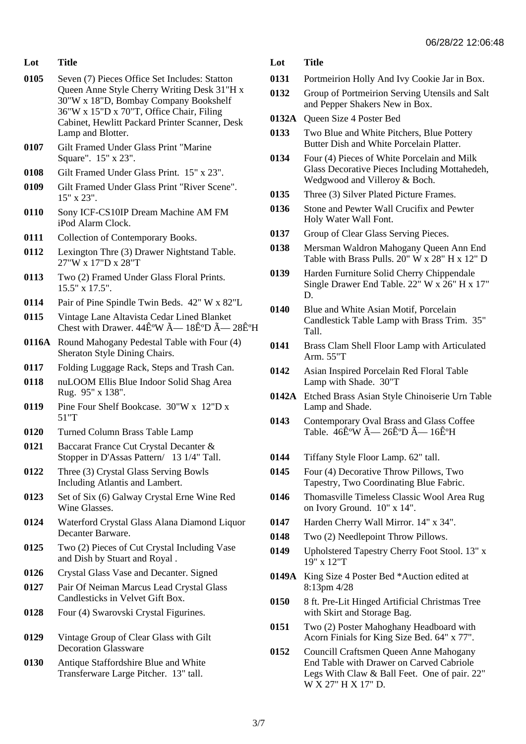- **0105** Seven (7) Pieces Office Set Includes: Statton Queen Anne Style Cherry Writing Desk 31"H x 30"W x 18"D, Bombay Company Bookshelf 36"W x 15"D x 70"T, Office Chair, Filing Cabinet, Hewlitt Packard Printer Scanner, Desk Lamp and Blotter.
- **0107** Gilt Framed Under Glass Print "Marine Square". 15" x 23".
- **0108** Gilt Framed Under Glass Print. 15" x 23".
- **0109** Gilt Framed Under Glass Print "River Scene". 15" x 23".
- **0110** Sony ICF-CS10IP Dream Machine AM FM iPod Alarm Clock.
- **0111** Collection of Contemporary Books.
- **0112** Lexington Thre (3) Drawer Nightstand Table. 27"W x 17"D x 28"T
- **0113** Two (2) Framed Under Glass Floral Prints. 15.5" x 17.5".
- **0114** Pair of Pine Spindle Twin Beds. 42" W x 82"L
- **0115** Vintage Lane Altavista Cedar Lined Blanket Chest with Drawer.  $44\hat{E}^{\circ}W \tilde{A} - 18\hat{E}^{\circ}D \tilde{A} - 28\hat{E}^{\circ}H$
- **0116A** Round Mahogany Pedestal Table with Four (4) Sheraton Style Dining Chairs.
- **0117** Folding Luggage Rack, Steps and Trash Can.
- **0118** nuLOOM Ellis Blue Indoor Solid Shag Area Rug. 95" x 138".
- **0119** Pine Four Shelf Bookcase. 30"W x 12"D x 51"T
- **0120** Turned Column Brass Table Lamp
- **0121** Baccarat France Cut Crystal Decanter & Stopper in D'Assas Pattern/ 13 1/4" Tall.
- **0122** Three (3) Crystal Glass Serving Bowls Including Atlantis and Lambert.
- **0123** Set of Six (6) Galway Crystal Erne Wine Red Wine Glasses.
- **0124** Waterford Crystal Glass Alana Diamond Liquor Decanter Barware.
- **0125** Two (2) Pieces of Cut Crystal Including Vase and Dish by Stuart and Royal .
- **0126** Crystal Glass Vase and Decanter. Signed
- **0127** Pair Of Neiman Marcus Lead Crystal Glass Candlesticks in Velvet Gift Box.
- **0128** Four (4) Swarovski Crystal Figurines.
- **0129** Vintage Group of Clear Glass with Gilt Decoration Glassware
- **0130** Antique Staffordshire Blue and White Transferware Large Pitcher. 13" tall.

- **0131** Portmeirion Holly And Ivy Cookie Jar in Box.
- **0132** Group of Portmeirion Serving Utensils and Salt and Pepper Shakers New in Box.
- **0132A** Queen Size 4 Poster Bed
- **0133** Two Blue and White Pitchers, Blue Pottery Butter Dish and White Porcelain Platter.
- **0134** Four (4) Pieces of White Porcelain and Milk Glass Decorative Pieces Including Mottahedeh, Wedgwood and Villeroy & Boch.
- **0135** Three (3) Silver Plated Picture Frames.
- **0136** Stone and Pewter Wall Crucifix and Pewter Holy Water Wall Font.
- **0137** Group of Clear Glass Serving Pieces.
- **0138** Mersman Waldron Mahogany Queen Ann End Table with Brass Pulls. 20" W x 28" H x 12" D
- **0139** Harden Furniture Solid Cherry Chippendale Single Drawer End Table. 22" W x 26" H x 17" D.
- **0140** Blue and White Asian Motif, Porcelain Candlestick Table Lamp with Brass Trim. 35" Tall.
- **0141** Brass Clam Shell Floor Lamp with Articulated Arm. 55"T
- **0142** Asian Inspired Porcelain Red Floral Table Lamp with Shade. 30"T
- **0142A** Etched Brass Asian Style Chinoiserie Urn Table Lamp and Shade.
- **0143** Contemporary Oval Brass and Glass Coffee Table.  $46\hat{F}$ <sup>o</sup>W  $\tilde{A}$   $- 26\hat{F}$ <sup>o</sup>D  $\tilde{A}$   $- 16\hat{F}$ <sup>o</sup>H
- **0144** Tiffany Style Floor Lamp. 62" tall.
- **0145** Four (4) Decorative Throw Pillows, Two Tapestry, Two Coordinating Blue Fabric.
- **0146** Thomasville Timeless Classic Wool Area Rug on Ivory Ground. 10" x 14".
- **0147** Harden Cherry Wall Mirror. 14" x 34".
- **0148** Two (2) Needlepoint Throw Pillows.
- **0149** Upholstered Tapestry Cherry Foot Stool. 13" x 19" x 12"T
- **0149A** King Size 4 Poster Bed \*Auction edited at 8:13pm 4/28
- **0150** 8 ft. Pre-Lit Hinged Artificial Christmas Tree with Skirt and Storage Bag.
- **0151** Two (2) Poster Mahoghany Headboard with Acorn Finials for King Size Bed. 64" x 77".
- **0152** Councill Craftsmen Queen Anne Mahogany End Table with Drawer on Carved Cabriole Legs With Claw & Ball Feet. One of pair. 22" W X 27" H X 17" D.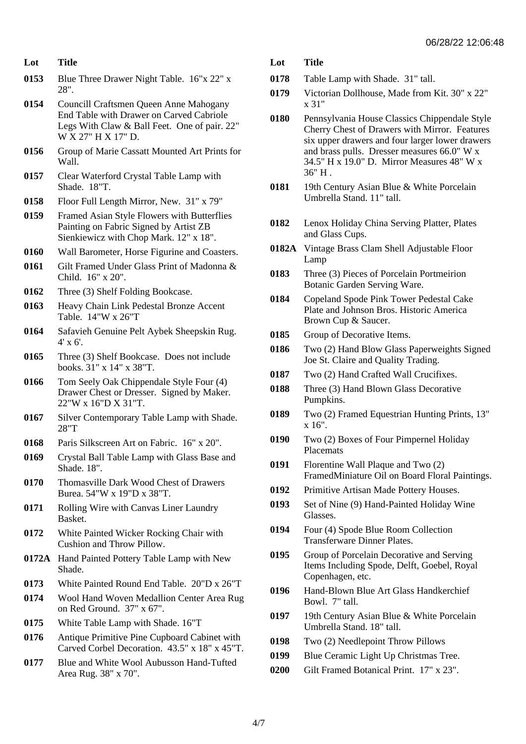- **0153** Blue Three Drawer Night Table. 16"x 22" x 28".
- **0154** Councill Craftsmen Queen Anne Mahogany End Table with Drawer on Carved Cabriole Legs With Claw & Ball Feet. One of pair. 22" W X 27" H X 17" D.
- **0156** Group of Marie Cassatt Mounted Art Prints for Wall.
- **0157** Clear Waterford Crystal Table Lamp with Shade. 18"T.
- **0158** Floor Full Length Mirror, New. 31" x 79"
- **0159** Framed Asian Style Flowers with Butterflies Painting on Fabric Signed by Artist ZB Sienkiewicz with Chop Mark. 12" x 18".
- **0160** Wall Barometer, Horse Figurine and Coasters.
- **0161** Gilt Framed Under Glass Print of Madonna & Child. 16" x 20".
- **0162** Three (3) Shelf Folding Bookcase.
- **0163** Heavy Chain Link Pedestal Bronze Accent Table. 14"W x 26"T
- **0164** Safavieh Genuine Pelt Aybek Sheepskin Rug. 4' x 6'.
- **0165** Three (3) Shelf Bookcase. Does not include books. 31" x 14" x 38"T.
- **0166** Tom Seely Oak Chippendale Style Four (4) Drawer Chest or Dresser. Signed by Maker. 22"W x 16"D X 31"T.
- **0167** Silver Contemporary Table Lamp with Shade. 28"T
- **0168** Paris Silkscreen Art on Fabric. 16" x 20".
- **0169** Crystal Ball Table Lamp with Glass Base and Shade. 18".
- **0170** Thomasville Dark Wood Chest of Drawers Burea. 54"W x 19"D x 38"T.
- **0171** Rolling Wire with Canvas Liner Laundry Basket.
- **0172** White Painted Wicker Rocking Chair with Cushion and Throw Pillow.
- **0172A** Hand Painted Pottery Table Lamp with New Shade.
- **0173** White Painted Round End Table. 20"D x 26"T
- **0174** Wool Hand Woven Medallion Center Area Rug on Red Ground. 37" x 67".
- **0175** White Table Lamp with Shade. 16"T
- **0176** Antique Primitive Pine Cupboard Cabinet with Carved Corbel Decoration. 43.5" x 18" x 45"T.
- **0177** Blue and White Wool Aubusson Hand-Tufted Area Rug. 38" x 70".
- **Lot Title**
- **0178** Table Lamp with Shade. 31" tall.
- **0179** Victorian Dollhouse, Made from Kit. 30" x 22" x 31"
- **0180** Pennsylvania House Classics Chippendale Style Cherry Chest of Drawers with Mirror. Features six upper drawers and four larger lower drawers and brass pulls. Dresser measures 66.0" W x 34.5" H x 19.0" D. Mirror Measures 48" W x 36" H .
- **0181** 19th Century Asian Blue & White Porcelain Umbrella Stand. 11" tall.
- **0182** Lenox Holiday China Serving Platter, Plates and Glass Cups.
- **0182A** Vintage Brass Clam Shell Adjustable Floor Lamp
- **0183** Three (3) Pieces of Porcelain Portmeirion Botanic Garden Serving Ware.
- **0184** Copeland Spode Pink Tower Pedestal Cake Plate and Johnson Bros. Historic America Brown Cup & Saucer.
- **0185** Group of Decorative Items.
- **0186** Two (2) Hand Blow Glass Paperweights Signed Joe St. Claire and Quality Trading.
- **0187** Two (2) Hand Crafted Wall Crucifixes.
- **0188** Three (3) Hand Blown Glass Decorative Pumpkins.
- **0189** Two (2) Framed Equestrian Hunting Prints, 13" x 16".
- **0190** Two (2) Boxes of Four Pimpernel Holiday Placemats
- **0191** Florentine Wall Plaque and Two (2) FramedMiniature Oil on Board Floral Paintings.
- **0192** Primitive Artisan Made Pottery Houses.
- **0193** Set of Nine (9) Hand-Painted Holiday Wine Glasses.
- **0194** Four (4) Spode Blue Room Collection Transferware Dinner Plates.
- **0195** Group of Porcelain Decorative and Serving Items Including Spode, Delft, Goebel, Royal Copenhagen, etc.
- **0196** Hand-Blown Blue Art Glass Handkerchief Bowl. 7" tall.
- **0197** 19th Century Asian Blue & White Porcelain Umbrella Stand. 18" tall.
- **0198** Two (2) Needlepoint Throw Pillows
- **0199** Blue Ceramic Light Up Christmas Tree.
- **0200** Gilt Framed Botanical Print. 17" x 23".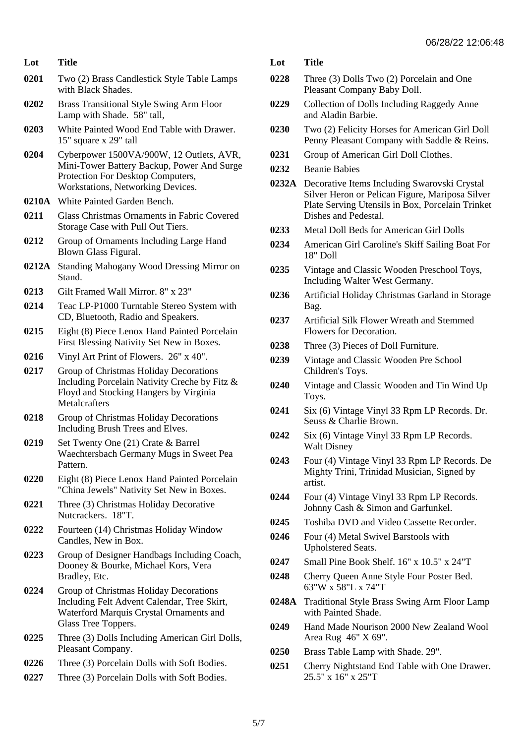- **0201** Two (2) Brass Candlestick Style Table Lamps with Black Shades.
- **0202** Brass Transitional Style Swing Arm Floor Lamp with Shade. 58" tall,
- **0203** White Painted Wood End Table with Drawer. 15" square x 29" tall
- **0204** Cyberpower 1500VA/900W, 12 Outlets, AVR, Mini-Tower Battery Backup, Power And Surge Protection For Desktop Computers, Workstations, Networking Devices.
- **0210A** White Painted Garden Bench.
- **0211** Glass Christmas Ornaments in Fabric Covered Storage Case with Pull Out Tiers.
- **0212** Group of Ornaments Including Large Hand Blown Glass Figural.
- **0212A** Standing Mahogany Wood Dressing Mirror on Stand.
- **0213** Gilt Framed Wall Mirror. 8" x 23"
- **0214** Teac LP-P1000 Turntable Stereo System with CD, Bluetooth, Radio and Speakers.
- **0215** Eight (8) Piece Lenox Hand Painted Porcelain First Blessing Nativity Set New in Boxes.
- **0216** Vinyl Art Print of Flowers. 26" x 40".
- **0217** Group of Christmas Holiday Decorations Including Porcelain Nativity Creche by Fitz & Floyd and Stocking Hangers by Virginia **Metalcrafters**
- **0218** Group of Christmas Holiday Decorations Including Brush Trees and Elves.
- **0219** Set Twenty One (21) Crate & Barrel Waechtersbach Germany Mugs in Sweet Pea Pattern.
- **0220** Eight (8) Piece Lenox Hand Painted Porcelain "China Jewels" Nativity Set New in Boxes.
- **0221** Three (3) Christmas Holiday Decorative Nutcrackers. 18"T.
- **0222** Fourteen (14) Christmas Holiday Window Candles, New in Box.
- **0223** Group of Designer Handbags Including Coach, Dooney & Bourke, Michael Kors, Vera Bradley, Etc.
- **0224** Group of Christmas Holiday Decorations Including Felt Advent Calendar, Tree Skirt, Waterford Marquis Crystal Ornaments and Glass Tree Toppers.
- **0225** Three (3) Dolls Including American Girl Dolls, Pleasant Company.
- **0226** Three (3) Porcelain Dolls with Soft Bodies.
- **0227** Three (3) Porcelain Dolls with Soft Bodies.
- **Lot Title**
- **0228** Three (3) Dolls Two (2) Porcelain and One Pleasant Company Baby Doll.
- **0229** Collection of Dolls Including Raggedy Anne and Aladin Barbie.
- **0230** Two (2) Felicity Horses for American Girl Doll Penny Pleasant Company with Saddle & Reins.
- **0231** Group of American Girl Doll Clothes.
- **0232** Beanie Babies
- **0232A** Decorative Items Including Swarovski Crystal Silver Heron or Pelican Figure, Mariposa Silver Plate Serving Utensils in Box, Porcelain Trinket Dishes and Pedestal.
- **0233** Metal Doll Beds for American Girl Dolls
- **0234** American Girl Caroline's Skiff Sailing Boat For 18" Doll
- **0235** Vintage and Classic Wooden Preschool Toys, Including Walter West Germany.
- **0236** Artificial Holiday Christmas Garland in Storage Bag.
- **0237** Artificial Silk Flower Wreath and Stemmed Flowers for Decoration.
- **0238** Three (3) Pieces of Doll Furniture.
- **0239** Vintage and Classic Wooden Pre School Children's Toys.
- **0240** Vintage and Classic Wooden and Tin Wind Up Toys.
- **0241** Six (6) Vintage Vinyl 33 Rpm LP Records. Dr. Seuss & Charlie Brown.
- **0242** Six (6) Vintage Vinyl 33 Rpm LP Records. Walt Disney
- **0243** Four (4) Vintage Vinyl 33 Rpm LP Records. De Mighty Trini, Trinidad Musician, Signed by artist.
- **0244** Four (4) Vintage Vinyl 33 Rpm LP Records. Johnny Cash & Simon and Garfunkel.
- **0245** Toshiba DVD and Video Cassette Recorder.
- **0246** Four (4) Metal Swivel Barstools with Upholstered Seats.
- **0247** Small Pine Book Shelf. 16" x 10.5" x 24"T
- **0248** Cherry Queen Anne Style Four Poster Bed. 63"W x 58"L x 74"T
- **0248A** Traditional Style Brass Swing Arm Floor Lamp with Painted Shade.
- **0249** Hand Made Nourison 2000 New Zealand Wool Area Rug 46" X 69".
- **0250** Brass Table Lamp with Shade. 29".
- **0251** Cherry Nightstand End Table with One Drawer. 25.5" x 16" x 25"T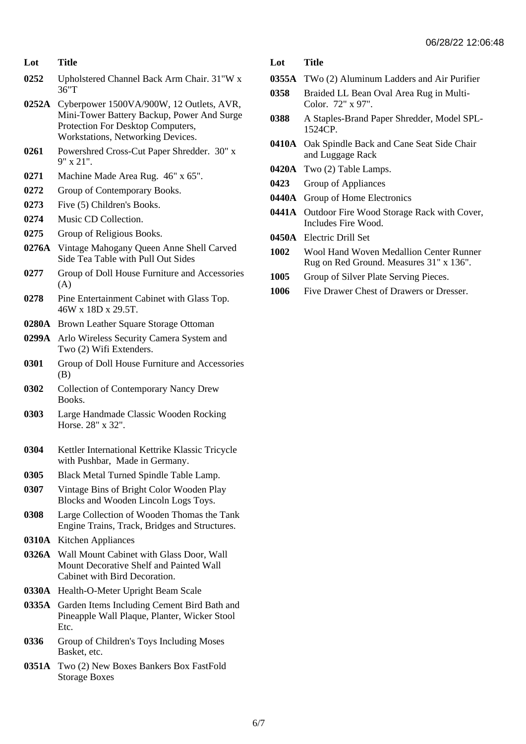- **0252** Upholstered Channel Back Arm Chair. 31"W x 36"T
- **0252A** Cyberpower 1500VA/900W, 12 Outlets, AVR, Mini-Tower Battery Backup, Power And Surge Protection For Desktop Computers, Workstations, Networking Devices.
- **0261** Powershred Cross-Cut Paper Shredder. 30" x 9" x 21".
- **0271** Machine Made Area Rug. 46" x 65".
- **0272** Group of Contemporary Books.
- **0273** Five (5) Children's Books.
- **0274** Music CD Collection.
- **0275** Group of Religious Books.
- **0276A** Vintage Mahogany Queen Anne Shell Carved Side Tea Table with Pull Out Sides
- **0277** Group of Doll House Furniture and Accessories (A)
- **0278** Pine Entertainment Cabinet with Glass Top. 46W x 18D x 29.5T.
- **0280A** Brown Leather Square Storage Ottoman
- **0299A** Arlo Wireless Security Camera System and Two (2) Wifi Extenders.
- **0301** Group of Doll House Furniture and Accessories (B)
- **0302** Collection of Contemporary Nancy Drew Books.
- **0303** Large Handmade Classic Wooden Rocking Horse. 28" x 32".
- **0304** Kettler International Kettrike Klassic Tricycle with Pushbar, Made in Germany.
- **0305** Black Metal Turned Spindle Table Lamp.
- **0307** Vintage Bins of Bright Color Wooden Play Blocks and Wooden Lincoln Logs Toys.
- **0308** Large Collection of Wooden Thomas the Tank Engine Trains, Track, Bridges and Structures.
- **0310A** Kitchen Appliances
- **0326A** Wall Mount Cabinet with Glass Door, Wall Mount Decorative Shelf and Painted Wall Cabinet with Bird Decoration.
- **0330A** Health-O-Meter Upright Beam Scale
- **0335A** Garden Items Including Cement Bird Bath and Pineapple Wall Plaque, Planter, Wicker Stool Etc.
- **0336** Group of Children's Toys Including Moses Basket, etc.
- **0351A** Two (2) New Boxes Bankers Box FastFold Storage Boxes

- **0355A** TWo (2) Aluminum Ladders and Air Purifier
- **0358** Braided LL Bean Oval Area Rug in Multi-Color. 72" x 97".
- **0388** A Staples-Brand Paper Shredder, Model SPL-1524CP.
- **0410A** Oak Spindle Back and Cane Seat Side Chair and Luggage Rack
- **0420A** Two (2) Table Lamps.
- **0423** Group of Appliances
- **0440A** Group of Home Electronics
- **0441A** Outdoor Fire Wood Storage Rack with Cover, Includes Fire Wood.
- **0450A** Electric Drill Set
- **1002** Wool Hand Woven Medallion Center Runner Rug on Red Ground. Measures 31" x 136".
- **1005** Group of Silver Plate Serving Pieces.
- **1006** Five Drawer Chest of Drawers or Dresser.